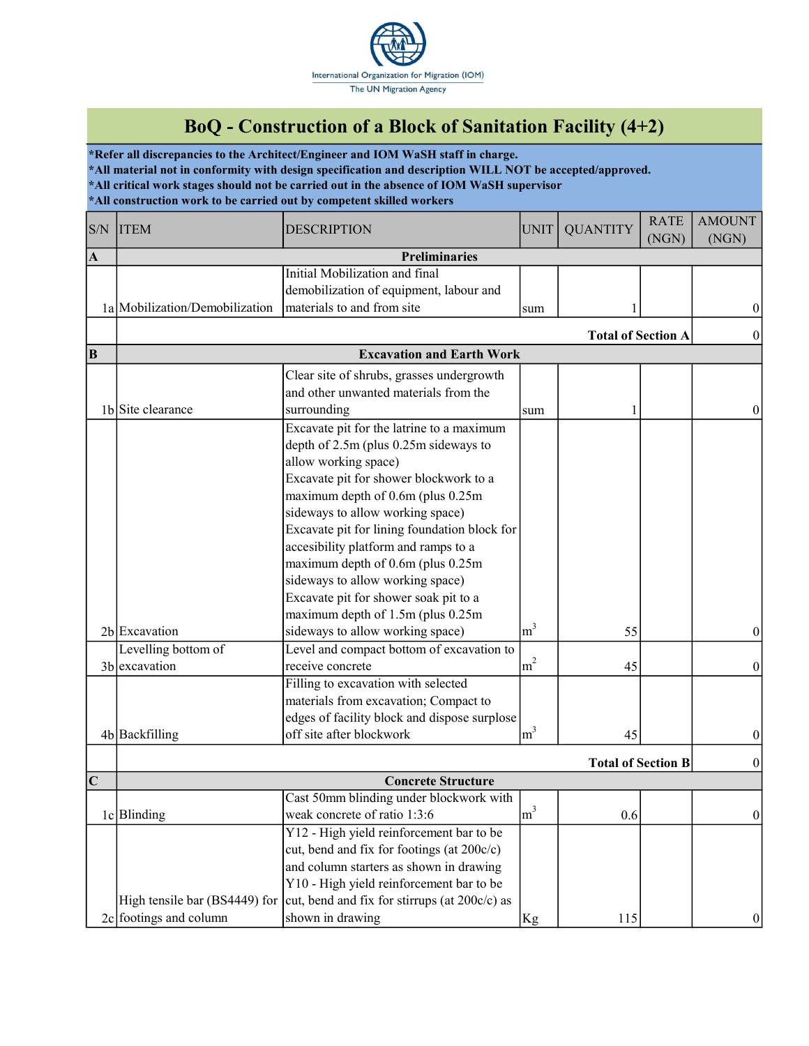

## BoQ - Construction of a Block of Sanitation Facility (4+2)

\*Refer all discrepancies to the Architect/Engineer and IOM WaSH staff in charge. \*All material not in conformity with design specification and description WILL NOT be accepted/approved. \*All critical work stages should not be carried out in the absence of IOM WaSH supervisor \*All construction work to be carried out by competent skilled workers

| S/N        | <b>ITEM</b>                    | <b>DESCRIPTION</b>                            | <b>UNIT</b>    | <b>QUANTITY</b>           | <b>RATE</b> | <b>AMOUNT</b>   |
|------------|--------------------------------|-----------------------------------------------|----------------|---------------------------|-------------|-----------------|
|            |                                |                                               |                |                           | (NGN)       | (NGN)           |
| $\vert$ A  |                                | <b>Preliminaries</b>                          |                |                           |             |                 |
|            |                                | Initial Mobilization and final                |                |                           |             |                 |
|            |                                | demobilization of equipment, labour and       |                |                           |             |                 |
|            | 1a Mobilization/Demobilization | materials to and from site                    | sum            |                           |             | 0               |
|            |                                |                                               |                | <b>Total of Section A</b> |             |                 |
| B          |                                | <b>Excavation and Earth Work</b>              |                |                           |             |                 |
|            |                                | Clear site of shrubs, grasses undergrowth     |                |                           |             |                 |
|            |                                | and other unwanted materials from the         |                |                           |             |                 |
|            | 1b Site clearance              | surrounding                                   | sum            |                           |             | $\theta$        |
|            |                                | Excavate pit for the latrine to a maximum     |                |                           |             |                 |
|            |                                | depth of 2.5m (plus 0.25m sideways to         |                |                           |             |                 |
|            |                                | allow working space)                          |                |                           |             |                 |
|            |                                | Excavate pit for shower blockwork to a        |                |                           |             |                 |
|            |                                | maximum depth of 0.6m (plus 0.25m             |                |                           |             |                 |
|            |                                | sideways to allow working space)              |                |                           |             |                 |
|            |                                | Excavate pit for lining foundation block for  |                |                           |             |                 |
|            |                                | accesibility platform and ramps to a          |                |                           |             |                 |
|            |                                | maximum depth of 0.6m (plus 0.25m             |                |                           |             |                 |
|            |                                | sideways to allow working space)              |                |                           |             |                 |
|            |                                | Excavate pit for shower soak pit to a         |                |                           |             |                 |
|            |                                | maximum depth of 1.5m (plus 0.25m             |                |                           |             |                 |
|            | 2b Excavation                  | sideways to allow working space)              | m <sup>3</sup> | 55                        |             | $\theta$        |
|            | Levelling bottom of            | Level and compact bottom of excavation to     |                |                           |             |                 |
|            | 3b excavation                  | receive concrete                              | m <sup>2</sup> | 45                        |             | $\theta$        |
|            |                                | Filling to excavation with selected           |                |                           |             |                 |
|            |                                | materials from excavation; Compact to         |                |                           |             |                 |
|            |                                | edges of facility block and dispose surplose  |                |                           |             |                 |
|            | 4b Backfilling                 | off site after blockwork                      | m <sup>3</sup> | 45                        |             | $\theta$        |
|            | <b>Total of Section B</b>      |                                               |                |                           |             |                 |
| $ {\bf C}$ | <b>Concrete Structure</b>      |                                               |                |                           |             | $\theta$        |
|            |                                | Cast 50mm blinding under blockwork with       |                |                           |             |                 |
|            | 1c Blinding                    | weak concrete of ratio 1:3:6                  | m <sup>3</sup> | 0.6                       |             | $\vert 0 \vert$ |
|            |                                | Y12 - High yield reinforcement bar to be      |                |                           |             |                 |
|            |                                | cut, bend and fix for footings (at 200c/c)    |                |                           |             |                 |
|            |                                | and column starters as shown in drawing       |                |                           |             |                 |
|            |                                | Y10 - High yield reinforcement bar to be      |                |                           |             |                 |
|            | High tensile bar (BS4449) for  | cut, bend and fix for stirrups (at 200c/c) as |                |                           |             |                 |
|            | $2c$ footings and column       | shown in drawing                              | Kg             | 115                       |             | 0               |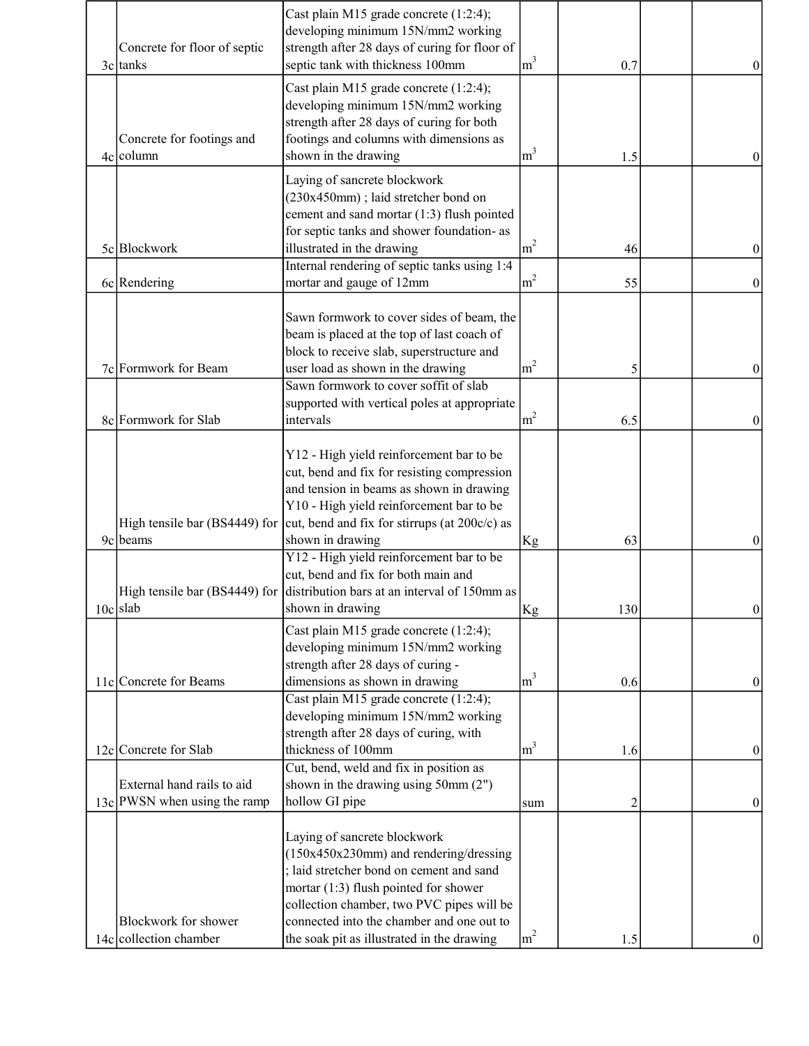| Concrete for floor of septic<br>3c tanks                     | Cast plain M15 grade concrete (1:2:4);<br>developing minimum 15N/mm2 working<br>strength after 28 days of curing for floor of<br>septic tank with thickness 100mm                                                                                       | m <sup>3</sup> | 0.7            | $\theta$ |
|--------------------------------------------------------------|---------------------------------------------------------------------------------------------------------------------------------------------------------------------------------------------------------------------------------------------------------|----------------|----------------|----------|
| Concrete for footings and<br>$4c$ column                     | Cast plain M15 grade concrete (1:2:4);<br>developing minimum 15N/mm2 working<br>strength after 28 days of curing for both<br>footings and columns with dimensions as<br>shown in the drawing                                                            | m <sup>3</sup> | 1.5            |          |
|                                                              | Laying of sancrete blockwork<br>(230x450mm); laid stretcher bond on<br>cement and sand mortar (1:3) flush pointed<br>for septic tanks and shower foundation- as                                                                                         |                |                |          |
| 5c Blockwork                                                 | illustrated in the drawing                                                                                                                                                                                                                              | m <sup>2</sup> | 46             | $\theta$ |
|                                                              | Internal rendering of septic tanks using 1:4                                                                                                                                                                                                            |                |                |          |
| 6c Rendering                                                 | mortar and gauge of 12mm                                                                                                                                                                                                                                | m <sup>2</sup> | 55             | $\theta$ |
| 7c Formwork for Beam                                         | Sawn formwork to cover sides of beam, the<br>beam is placed at the top of last coach of<br>block to receive slab, superstructure and<br>user load as shown in the drawing                                                                               | m <sup>2</sup> | 5              | $\left($ |
|                                                              | Sawn formwork to cover soffit of slab                                                                                                                                                                                                                   |                |                |          |
|                                                              | supported with vertical poles at appropriate                                                                                                                                                                                                            |                |                |          |
| 8c Formwork for Slab                                         | intervals                                                                                                                                                                                                                                               | m <sup>2</sup> | 6.5            | $\theta$ |
| High tensile bar (BS4449) for                                | Y12 - High yield reinforcement bar to be<br>cut, bend and fix for resisting compression<br>and tension in beams as shown in drawing<br>Y10 - High yield reinforcement bar to be<br>cut, bend and fix for stirrups (at 200c/c) as                        |                |                |          |
| 9c beams                                                     | shown in drawing                                                                                                                                                                                                                                        | Kg             | 63             | $\theta$ |
| $10c$ slab                                                   | Y12 - High yield reinforcement bar to be<br>cut, bend and fix for both main and<br>High tensile bar (BS4449) for distribution bars at an interval of 150mm as<br>shown in drawing                                                                       | Kg             | 130            | $\bf{0}$ |
|                                                              | Cast plain M15 grade concrete (1:2:4);<br>developing minimum 15N/mm2 working<br>strength after 28 days of curing -                                                                                                                                      | m <sup>3</sup> |                |          |
| 11c Concrete for Beams                                       | dimensions as shown in drawing<br>Cast plain M15 grade concrete (1:2:4);                                                                                                                                                                                |                | 0.6            | 0        |
| 12c Concrete for Slab                                        | developing minimum 15N/mm2 working<br>strength after 28 days of curing, with<br>thickness of 100mm                                                                                                                                                      | m <sup>3</sup> | 1.6            | $\bf{0}$ |
|                                                              | Cut, bend, weld and fix in position as                                                                                                                                                                                                                  |                |                |          |
| External hand rails to aid<br>$13c$ PWSN when using the ramp | shown in the drawing using $50$ mm $(2")$<br>hollow GI pipe                                                                                                                                                                                             | sum            | $\overline{c}$ | $\theta$ |
|                                                              |                                                                                                                                                                                                                                                         |                |                |          |
| Blockwork for shower                                         | Laying of sancrete blockwork<br>$(150x450x230mm)$ and rendering/dressing<br>; laid stretcher bond on cement and sand<br>mortar (1:3) flush pointed for shower<br>collection chamber, two PVC pipes will be<br>connected into the chamber and one out to |                |                |          |
| 14c collection chamber                                       | the soak pit as illustrated in the drawing                                                                                                                                                                                                              | m <sup>2</sup> | 1.5            |          |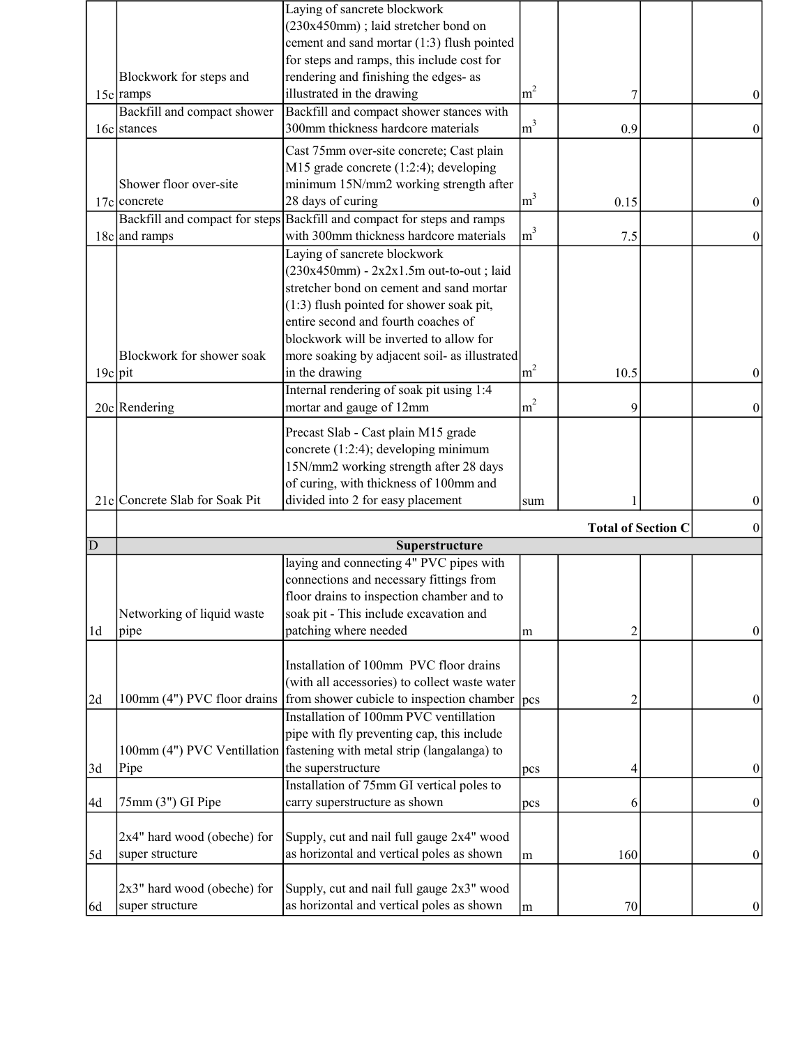|                |                                                | Laying of sancrete blockwork                                                           |                  |      |  |                  |
|----------------|------------------------------------------------|----------------------------------------------------------------------------------------|------------------|------|--|------------------|
|                |                                                | (230x450mm); laid stretcher bond on                                                    |                  |      |  |                  |
|                |                                                | cement and sand mortar (1:3) flush pointed                                             |                  |      |  |                  |
|                |                                                | for steps and ramps, this include cost for                                             |                  |      |  |                  |
|                | Blockwork for steps and                        | rendering and finishing the edges- as                                                  |                  |      |  |                  |
|                | $15c$ ramps                                    | illustrated in the drawing                                                             | m <sup>2</sup>   | 7    |  | 0                |
|                | Backfill and compact shower                    | Backfill and compact shower stances with                                               |                  |      |  |                  |
|                | 16c stances                                    | 300mm thickness hardcore materials                                                     | m <sup>3</sup>   | 0.9  |  | $\theta$         |
|                |                                                | Cast 75mm over-site concrete; Cast plain                                               |                  |      |  |                  |
|                |                                                | M15 grade concrete $(1:2:4)$ ; developing                                              |                  |      |  |                  |
|                | Shower floor over-site                         | minimum 15N/mm2 working strength after                                                 |                  |      |  |                  |
|                |                                                |                                                                                        | m <sup>3</sup>   |      |  |                  |
|                | $17c$ concrete                                 | 28 days of curing                                                                      |                  | 0.15 |  | $\theta$         |
|                |                                                | Backfill and compact for steps Backfill and compact for steps and ramps                |                  |      |  |                  |
|                | 18c and ramps                                  | with 300mm thickness hardcore materials                                                | m <sup>3</sup>   | 7.5  |  | $\theta$         |
|                |                                                | Laying of sancrete blockwork                                                           |                  |      |  |                  |
|                |                                                | $(230x450mm)$ - $2x2x1.5m$ out-to-out; laid                                            |                  |      |  |                  |
|                |                                                | stretcher bond on cement and sand mortar                                               |                  |      |  |                  |
|                |                                                | (1:3) flush pointed for shower soak pit,                                               |                  |      |  |                  |
|                |                                                | entire second and fourth coaches of                                                    |                  |      |  |                  |
|                |                                                | blockwork will be inverted to allow for                                                |                  |      |  |                  |
|                | Blockwork for shower soak                      | more soaking by adjacent soil- as illustrated                                          |                  |      |  |                  |
| $19c$ pit      |                                                | in the drawing                                                                         | m <sup>2</sup>   | 10.5 |  | $\theta$         |
|                |                                                | Internal rendering of soak pit using 1:4                                               |                  |      |  |                  |
|                | 20c Rendering                                  | mortar and gauge of 12mm                                                               | m <sup>2</sup>   | 9    |  | $\theta$         |
|                |                                                |                                                                                        |                  |      |  |                  |
|                |                                                | Precast Slab - Cast plain M15 grade                                                    |                  |      |  |                  |
|                |                                                | concrete (1:2:4); developing minimum                                                   |                  |      |  |                  |
|                |                                                | 15N/mm2 working strength after 28 days                                                 |                  |      |  |                  |
|                |                                                | of curing, with thickness of 100mm and                                                 |                  |      |  |                  |
|                | 21c Concrete Slab for Soak Pit                 | divided into 2 for easy placement                                                      | sum              |      |  |                  |
|                |                                                |                                                                                        |                  |      |  |                  |
| D              | <b>Total of Section C</b><br>Superstructure    |                                                                                        |                  |      |  |                  |
|                |                                                | laying and connecting 4" PVC pipes with                                                |                  |      |  |                  |
|                |                                                | connections and necessary fittings from                                                |                  |      |  |                  |
|                |                                                |                                                                                        |                  |      |  |                  |
|                |                                                | floor drains to inspection chamber and to                                              |                  |      |  |                  |
|                | Networking of liquid waste                     | soak pit - This include excavation and                                                 |                  |      |  |                  |
| 1 <sub>d</sub> | pipe                                           | patching where needed                                                                  | m                | 2    |  | 0                |
|                |                                                |                                                                                        |                  |      |  |                  |
|                |                                                | Installation of 100mm PVC floor drains                                                 |                  |      |  |                  |
|                |                                                | (with all accessories) to collect waste water                                          |                  |      |  |                  |
| 2d             | 100mm (4") PVC floor drains                    | from shower cubicle to inspection chamber                                              | $ _{\text{DCS}}$ | 2    |  | $\bf{0}$         |
|                |                                                | Installation of 100mm PVC ventillation                                                 |                  |      |  |                  |
|                |                                                | pipe with fly preventing cap, this include                                             |                  |      |  |                  |
|                |                                                | 100mm (4") PVC Ventillation fastening with metal strip (langalanga) to                 |                  |      |  |                  |
| 3d             | Pipe                                           | the superstructure                                                                     | pcs              | 4    |  | $\theta$         |
|                |                                                | Installation of 75mm GI vertical poles to                                              |                  |      |  |                  |
| 4d             | 75mm (3") GI Pipe                              | carry superstructure as shown                                                          | pcs              | 6    |  | $\boldsymbol{0}$ |
|                |                                                |                                                                                        |                  |      |  |                  |
|                | 2x4" hard wood (obeche) for                    | Supply, cut and nail full gauge 2x4" wood                                              |                  |      |  |                  |
|                |                                                |                                                                                        |                  |      |  |                  |
| 5d             | super structure                                | as horizontal and vertical poles as shown                                              | m                | 160  |  | $\bf{0}$         |
|                |                                                |                                                                                        |                  |      |  |                  |
|                |                                                |                                                                                        |                  |      |  |                  |
| [6d            | 2x3" hard wood (obeche) for<br>super structure | Supply, cut and nail full gauge 2x3" wood<br>as horizontal and vertical poles as shown | m                | 70   |  | 0                |